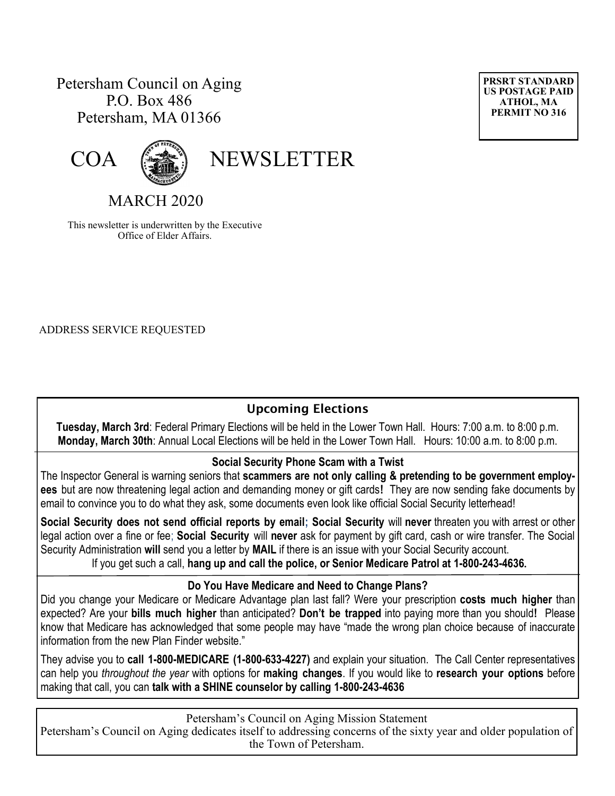## Petersham Council on Aging P.O. Box 486 Petersham, MA 01366





COA (

MARCH 2020

This newsletter is underwritten by the Executive Office of Elder Affairs.

ADDRESS SERVICE REQUESTED

## **Upcoming Elections**

**Tuesday, March 3rd**: Federal Primary Elections will be held in the Lower Town Hall. Hours: 7:00 a.m. to 8:00 p.m. **Monday, March 30th**: Annual Local Elections will be held in the Lower Town Hall. Hours: 10:00 a.m. to 8:00 p.m.

#### **Social Security Phone Scam with a Twist**

The Inspector General is warning seniors that **scammers are not only calling & pretending to be government employees** but are now threatening legal action and demanding money or gift cards**!** They are now sending fake documents by email to convince you to do what they ask, some documents even look like official Social Security letterhead!

**Social Security does not send official reports by email; Social Security** will **never** threaten you with arrest or other legal action over a fine or fee; **Social Security** will **never** ask for payment by gift card, cash or wire transfer. The Social Security Administration **will** send you a letter by **MAIL** if there is an issue with your Social Security account. If you get such a call, **hang up and call the police, or Senior Medicare Patrol at [1-800-243-4636](callto:1-800-243-4636).**

#### **Do You Have Medicare and Need to Change Plans?**

Did you change your Medicare or Medicare Advantage plan last fall? Were your prescription **costs much higher** than expected? Are your **bills much higher** than anticipated? **Don't be trapped** into paying more than you should**!** Please know that Medicare has acknowledged that some people may have "made the wrong plan choice because of inaccurate information from the new Plan Finder website."

They advise you to **call 1-800-MEDICARE (1-800-633-4227)** and explain your situation. The Call Center representatives can help you *throughout the year* with options for **making changes**. If you would like to **research your options** before making that call, you can **talk with a SHINE counselor by calling 1-800-243-4636**

Petersham's Council on Aging Mission Statement

Petersham's Council on Aging dedicates itself to addressing concerns of the sixty year and older population of the Town of Petersham.

**PRSRT STANDARD US POSTAGE PAID ATHOL, MA PERMIT NO 316**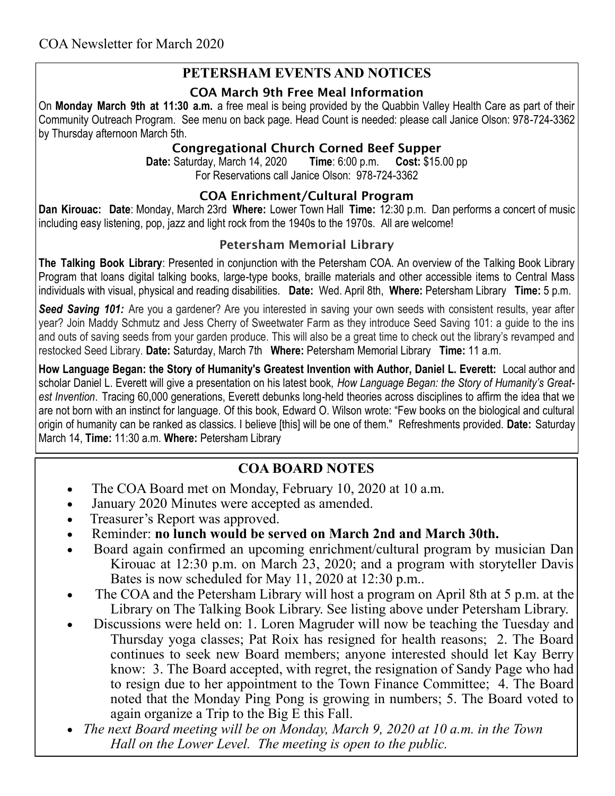## **PETERSHAM EVENTS AND NOTICES**

#### **COA March 9th Free Meal Information**

On **Monday March 9th at 11:30 a.m.** a free meal is being provided by the Quabbin Valley Health Care as part of their Community Outreach Program. See menu on back page. Head Count is needed: please call Janice Olson: 978-724-3362 by Thursday afternoon March 5th.

#### **Congregational Church Corned Beef Supper**

**Date:** Saturday, March 14, 2020 **Time**: 6:00 p.m. **Cost:** \$15.00 pp For Reservations call Janice Olson: 978-724-3362

#### **COA Enrichment/Cultural Program**

**Dan Kirouac: Date**: Monday, March 23rd **Where:** Lower Town Hall **Time:** 12:30 p.m. Dan performs a concert of music including easy listening, pop, jazz and light rock from the 1940s to the 1970s. All are welcome!

## **Petersham Memorial Library**

**The Talking Book Library**: Presented in conjunction with the Petersham COA. An overview of the Talking Book Library Program that loans digital talking books, large-type books, braille materials and other accessible items to Central Mass individuals with visual, physical and reading disabilities. **Date:** Wed. April 8th, **Where:** Petersham Library **Time:** 5 p.m.

**Seed Saving 101:** Are you a gardener? Are you interested in saving your own seeds with consistent results, year after year? Join Maddy Schmutz and Jess Cherry of Sweetwater Farm as they introduce Seed Saving 101: a guide to the ins and outs of saving seeds from your garden produce. This will also be a great time to check out the library's revamped and restocked Seed Library. **Date:** Saturday, March 7th **Where:** Petersham Memorial Library **Time:** 11 a.m.

**How Language Began: the Story of Humanity's Greatest Invention with Author, Daniel L. Everett:** Local author and scholar Daniel L. Everett will give a presentation on his latest book, *How Language Began: the Story of Humanity's Greatest Invention*. Tracing 60,000 generations, Everett debunks long-held theories across disciplines to affirm the idea that we are not born with an instinct for language. Of this book, Edward O. Wilson wrote: "Few books on the biological and cultural origin of humanity can be ranked as classics. I believe [this] will be one of them." Refreshments provided. **Date:** Saturday March 14, **Time:** 11:30 a.m. **Where:** Petersham Library

# **COA BOARD NOTES**

- The COA Board met on Monday, February 10, 2020 at 10 a.m.
- January 2020 Minutes were accepted as amended.
- Treasurer's Report was approved.
- Reminder: **no lunch would be served on March 2nd and March 30th.**
- Board again confirmed an upcoming enrichment/cultural program by musician Dan Kirouac at 12:30 p.m. on March 23, 2020; and a program with storyteller Davis Bates is now scheduled for May 11, 2020 at 12:30 p.m..
- The COA and the Petersham Library will host a program on April 8th at 5 p.m. at the Library on The Talking Book Library. See listing above under Petersham Library.
- Discussions were held on: 1. Loren Magruder will now be teaching the Tuesday and Thursday yoga classes; Pat Roix has resigned for health reasons; 2. The Board continues to seek new Board members; anyone interested should let Kay Berry know: 3. The Board accepted, with regret, the resignation of Sandy Page who had to resign due to her appointment to the Town Finance Committee; 4. The Board noted that the Monday Ping Pong is growing in numbers; 5. The Board voted to again organize a Trip to the Big E this Fall.
- *The next Board meeting will be on Monday, March 9, 2020 at 10 a.m. in the Town Hall on the Lower Level. The meeting is open to the public.*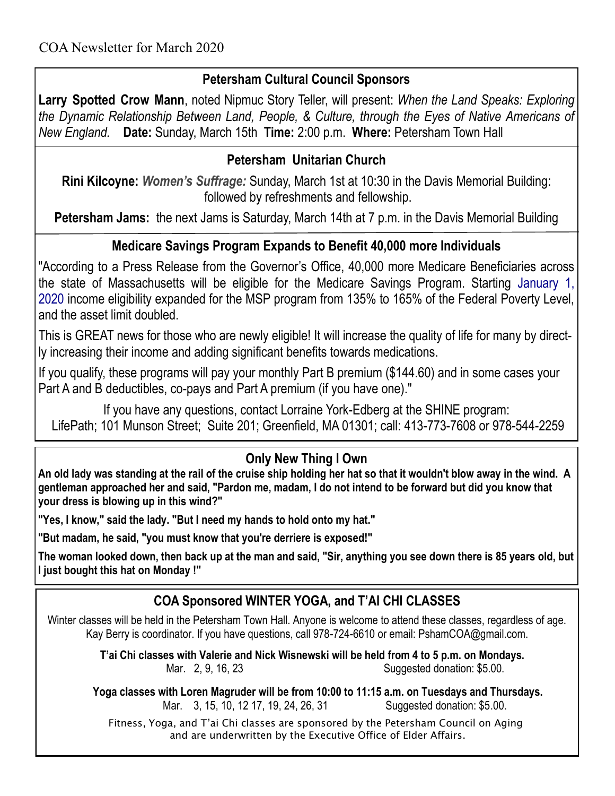# **Petersham Cultural Council Sponsors**

**Larry Spotted Crow Mann**, noted Nipmuc Story Teller, will present: *When the Land Speaks: Exploring the Dynamic Relationship Between Land, People, & Culture, through the Eyes of Native Americans of New England.* **Date:** Sunday, March 15th **Time:** 2:00 p.m. **Where:** Petersham Town Hall

## **Petersham Unitarian Church**

**Rini Kilcoyne:** *Women's Suffrage:* Sunday, March 1st at 10:30 in the Davis Memorial Building: followed by refreshments and fellowship.

**Petersham Jams:** the next Jams is Saturday, March 14th at 7 p.m. in the Davis Memorial Building

## **Medicare Savings Program Expands to Benefit 40,000 more Individuals**

"According to a Press Release from the Governor's Office, 40,000 more Medicare Beneficiaries across the state of Massachusetts will be eligible for the Medicare Savings Program. Starting January 1, 2020 income eligibility expanded for the MSP program from 135% to 165% of the Federal Poverty Level, and the asset limit doubled.

This is GREAT news for those who are newly eligible! It will increase the quality of life for many by directly increasing their income and adding significant benefits towards medications.

If you qualify, these programs will pay your monthly Part B premium (\$144.60) and in some cases your Part A and B deductibles, co-pays and Part A premium (if you have one)."

If you have any questions, contact Lorraine York-Edberg at the SHINE program: LifePath; 101 Munson Street; Suite 201; Greenfield, MA 01301; call: [413-773-7608](callto:413.773.7608) or 978-544-2259

# **Only New Thing I Own**

**An old lady was standing at the rail of the cruise ship holding her hat so that it wouldn't blow away in the wind. A gentleman approached her and said, "Pardon me, madam, I do not intend to be forward but did you know that your dress is blowing up in this wind?"**

**"Yes, I know," said the lady. "But I need my hands to hold onto my hat."** 

**"But madam, he said, "you must know that you're derriere is exposed!"**

**The woman looked down, then back up at the man and said, "Sir, anything you see down there is 85 years old, but I just bought this hat on Monday !"**

# **COA Sponsored WINTER YOGA, and T'AI CHI CLASSES**

Winter classes will be held in the Petersham Town Hall. Anyone is welcome to attend these classes, regardless of age. Kay Berry is coordinator. If you have questions, call 978-724-6610 or email: PshamCOA@gmail.com.

> **T'ai Chi classes with Valerie and Nick Wisnewski will be held from 4 to 5 p.m. on Mondays. Mar.** 2, 9, 16, 23 Suggested donation: \$5.00.

**Yoga classes with Loren Magruder will be from 10:00 to 11:15 a.m. on Tuesdays and Thursdays.**  Mar. 3, 15, 10, 12 17, 19, 24, 26, 31 Suggested donation: \$5.00.

 Fitness, Yoga, and T'ai Chi classes are sponsored by the Petersham Council on Aging and are underwritten by the Executive Office of Elder Affairs.